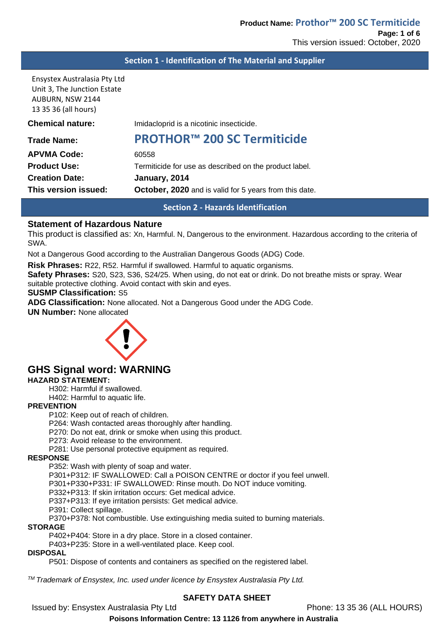#### **Section 1 - Identification of The Material and Supplier**

Ensystex Australasia Pty Ltd Unit 3, The Junction Estate AUBURN, NSW 2144 13 35 36 (all hours)

| This version issued:    | <b>October, 2020</b> and is valid for 5 years from this date. |
|-------------------------|---------------------------------------------------------------|
| <b>Creation Date:</b>   | January, 2014                                                 |
| <b>Product Use:</b>     | Termiticide for use as described on the product label.        |
| <b>APVMA Code:</b>      | 60558                                                         |
| Trade Name:             | <b>PROTHOR™ 200 SC Termiticide</b>                            |
| <b>Chemical nature:</b> | Imidacloprid is a nicotinic insecticide.                      |
|                         |                                                               |

**Section 2 - Hazards Identification**

#### **Statement of Hazardous Nature**

This product is classified as: Xn, Harmful. N, Dangerous to the environment. Hazardous according to the criteria of SWA.

Not a Dangerous Good according to the Australian Dangerous Goods (ADG) Code.

**Risk Phrases:** R22, R52. Harmful if swallowed. Harmful to aquatic organisms.

**Safety Phrases:** S20, S23, S36, S24/25. When using, do not eat or drink. Do not breathe mists or spray. Wear suitable protective clothing. Avoid contact with skin and eyes.

#### **SUSMP Classification:** S5

**ADG Classification:** None allocated. Not a Dangerous Good under the ADG Code.

#### **UN Number:** None allocated



# **GHS Signal word: WARNING**

#### **HAZARD STATEMENT:**

H302: Harmful if swallowed.

H402: Harmful to aquatic life.

#### **PREVENTION**

P102: Keep out of reach of children.

P264: Wash contacted areas thoroughly after handling.

P270: Do not eat, drink or smoke when using this product.

P273: Avoid release to the environment.

P281: Use personal protective equipment as required.

#### **RESPONSE**

P352: Wash with plenty of soap and water.

P301+P312: IF SWALLOWED: Call a POISON CENTRE or doctor if you feel unwell.

P301+P330+P331: IF SWALLOWED: Rinse mouth. Do NOT induce vomiting.

P332+P313: If skin irritation occurs: Get medical advice.

P337+P313: If eye irritation persists: Get medical advice.

P391: Collect spillage.

P370+P378: Not combustible. Use extinguishing media suited to burning materials.

#### **STORAGE**

P402+P404: Store in a dry place. Store in a closed container.

P403+P235: Store in a well-ventilated place. Keep cool.

**DISPOSAL**

P501: Dispose of contents and containers as specified on the registered label.

*TM Trademark of Ensystex, Inc. used under licence by Ensystex Australasia Pty Ltd.*

#### **SAFETY DATA SHEET**

Issued by: Ensystex Australasia Pty Ltd Phone: 13 35 36 (ALL HOURS)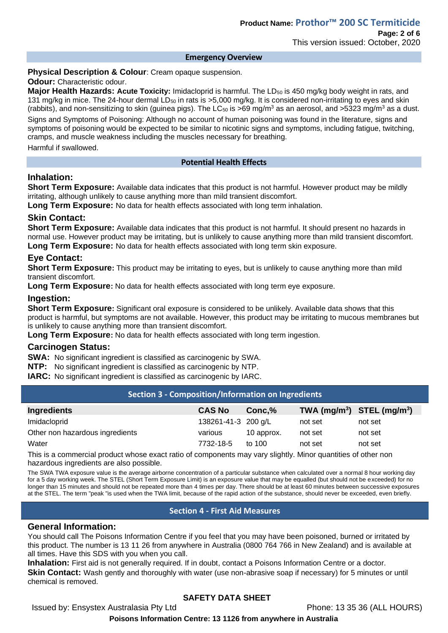#### **Emergency Overview**

#### **Physical Description & Colour**: Cream opaque suspension.

**Odour: Characteristic odour.** 

**Major Health Hazards: Acute Toxicity:** Imidacloprid is harmful. The LD<sub>50</sub> is 450 mg/kg body weight in rats, and 131 mg/kg in mice. The 24-hour dermal  $LD_{50}$  in rats is >5,000 mg/kg. It is considered non-irritating to eyes and skin (rabbits), and non-sensitizing to skin (guinea pigs). The LC<sub>50</sub> is >69 mg/m<sup>3</sup> as an aerosol, and >5323 mg/m<sup>3</sup> as a dust.

Signs and Symptoms of Poisoning: Although no account of human poisoning was found in the literature, signs and symptoms of poisoning would be expected to be similar to nicotinic signs and symptoms, including fatigue, twitching, cramps, and muscle weakness including the muscles necessary for breathing.

Harmful if swallowed.

#### **Potential Health Effects**

### **Inhalation:**

**Short Term Exposure:** Available data indicates that this product is not harmful. However product may be mildly irritating, although unlikely to cause anything more than mild transient discomfort.

**Long Term Exposure:** No data for health effects associated with long term inhalation.

#### **Skin Contact:**

**Short Term Exposure:** Available data indicates that this product is not harmful. It should present no hazards in normal use. However product may be irritating, but is unlikely to cause anything more than mild transient discomfort. **Long Term Exposure:** No data for health effects associated with long term skin exposure.

# **Eye Contact:**

**Short Term Exposure:** This product may be irritating to eyes, but is unlikely to cause anything more than mild transient discomfort.

**Long Term Exposure:** No data for health effects associated with long term eye exposure.

### **Ingestion:**

**Short Term Exposure:** Significant oral exposure is considered to be unlikely. Available data shows that this product is harmful, but symptoms are not available. However, this product may be irritating to mucous membranes but is unlikely to cause anything more than transient discomfort.

**Long Term Exposure:** No data for health effects associated with long term ingestion.

#### **Carcinogen Status:**

**SWA:** No significant ingredient is classified as carcinogenic by SWA.

**NTP:** No significant ingredient is classified as carcinogenic by NTP.

**IARC:** No significant ingredient is classified as carcinogenic by IARC.

#### **Section 3 - Composition/Information on Ingredients**

| <b>Ingredients</b>              | <b>CAS No</b>       | Conc.%     | TWA $(mg/m^3)$ STEL $(mg/m^3)$ |         |
|---------------------------------|---------------------|------------|--------------------------------|---------|
| Imidacloprid                    | 138261-41-3 200 g/L |            | not set                        | not set |
| Other non hazardous ingredients | various             | 10 approx. | not set                        | not set |
| Water                           | 7732-18-5           | to 100     | not set                        | not set |

This is a commercial product whose exact ratio of components may vary slightly. Minor quantities of other non hazardous ingredients are also possible.

The SWA TWA exposure value is the average airborne concentration of a particular substance when calculated over a normal 8 hour working day for a 5 day working week. The STEL (Short Term Exposure Limit) is an exposure value that may be equalled (but should not be exceeded) for no longer than 15 minutes and should not be repeated more than 4 times per day. There should be at least 60 minutes between successive exposures at the STEL. The term "peak "is used when the TWA limit, because of the rapid action of the substance, should never be exceeded, even briefly.

# **Section 4 - First Aid Measures**

#### **General Information:**

You should call The Poisons Information Centre if you feel that you may have been poisoned, burned or irritated by this product. The number is 13 11 26 from anywhere in Australia (0800 764 766 in New Zealand) and is available at all times. Have this SDS with you when you call.

**Inhalation:** First aid is not generally required. If in doubt, contact a Poisons Information Centre or a doctor. Skin Contact: Wash gently and thoroughly with water (use non-abrasive soap if necessary) for 5 minutes or until chemical is removed.

# **SAFETY DATA SHEET**

Issued by: Ensystex Australasia Pty Ltd Phone: 13 35 36 (ALL HOURS)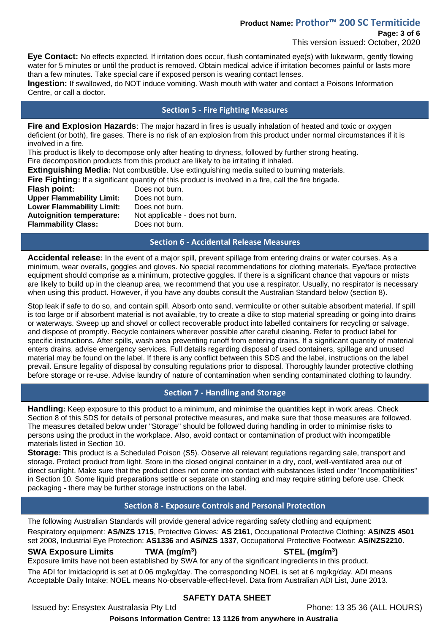# **Product Name: Prothor™ 200 SC Termiticide**

# **Page: 3 of 6**

This version issued: October, 2020

**Eye Contact:** No effects expected. If irritation does occur, flush contaminated eve(s) with lukewarm, gently flowing water for 5 minutes or until the product is removed. Obtain medical advice if irritation becomes painful or lasts more than a few minutes. Take special care if exposed person is wearing contact lenses.

**Ingestion:** If swallowed, do NOT induce vomiting. Wash mouth with water and contact a Poisons Information Centre, or call a doctor.

### **Section 5 - Fire Fighting Measures**

**Fire and Explosion Hazards**: The major hazard in fires is usually inhalation of heated and toxic or oxygen deficient (or both), fire gases. There is no risk of an explosion from this product under normal circumstances if it is involved in a fire.

This product is likely to decompose only after heating to dryness, followed by further strong heating. Fire decomposition products from this product are likely to be irritating if inhaled.

**Extinguishing Media:** Not combustible. Use extinguishing media suited to burning materials.

**Fire Fighting:** If a significant quantity of this product is involved in a fire, call the fire brigade.

**Flash point:** Does not burn. **Upper Flammability Limit:** Does not burn. **Lower Flammability Limit:** Does not burn. **Flammability Class:** Does not burn.

**Autoignition temperature:** Not applicable - does not burn.

### **Section 6 - Accidental Release Measures**

**Accidental release:** In the event of a major spill, prevent spillage from entering drains or water courses. As a minimum, wear overalls, goggles and gloves. No special recommendations for clothing materials. Eye/face protective equipment should comprise as a minimum, protective goggles. If there is a significant chance that vapours or mists are likely to build up in the cleanup area, we recommend that you use a respirator. Usually, no respirator is necessary when using this product. However, if you have any doubts consult the Australian Standard below (section 8).

Stop leak if safe to do so, and contain spill. Absorb onto sand, vermiculite or other suitable absorbent material. If spill is too large or if absorbent material is not available, try to create a dike to stop material spreading or going into drains or waterways. Sweep up and shovel or collect recoverable product into labelled containers for recycling or salvage, and dispose of promptly. Recycle containers wherever possible after careful cleaning. Refer to product label for specific instructions. After spills, wash area preventing runoff from entering drains. If a significant quantity of material enters drains, advise emergency services. Full details regarding disposal of used containers, spillage and unused material may be found on the label. If there is any conflict between this SDS and the label, instructions on the label prevail. Ensure legality of disposal by consulting regulations prior to disposal. Thoroughly launder protective clothing before storage or re-use. Advise laundry of nature of contamination when sending contaminated clothing to laundry.

# **Section 7 - Handling and Storage**

**Handling:** Keep exposure to this product to a minimum, and minimise the quantities kept in work areas. Check Section 8 of this SDS for details of personal protective measures, and make sure that those measures are followed. The measures detailed below under "Storage" should be followed during handling in order to minimise risks to persons using the product in the workplace. Also, avoid contact or contamination of product with incompatible materials listed in Section 10.

**Storage:** This product is a Scheduled Poison (S5). Observe all relevant regulations regarding sale, transport and storage. Protect product from light. Store in the closed original container in a dry, cool, well-ventilated area out of direct sunlight. Make sure that the product does not come into contact with substances listed under "Incompatibilities" in Section 10. Some liquid preparations settle or separate on standing and may require stirring before use. Check packaging - there may be further storage instructions on the label.

# **Section 8 - Exposure Controls and Personal Protection**

The following Australian Standards will provide general advice regarding safety clothing and equipment:

Respiratory equipment: **AS/NZS 1715**, Protective Gloves: **AS 2161**, Occupational Protective Clothing: **AS/NZS 4501** set 2008, Industrial Eye Protection: **AS1336** and **AS/NZS 1337**, Occupational Protective Footwear: **AS/NZS2210**.

# **SWA Exposure Limits TWA (mg/m<sup>3</sup>**

**) STEL (mg/m<sup>3</sup> )**

Exposure limits have not been established by SWA for any of the significant ingredients in this product. The ADI for Imidacloprid is set at 0.06 mg/kg/day. The corresponding NOEL is set at 6 mg/kg/day. ADI means Acceptable Daily Intake; NOEL means No-observable-effect-level. Data from Australian ADI List, June 2013.

# **SAFETY DATA SHEET**

Issued by: Ensystex Australasia Pty Ltd Phone: 13 35 36 (ALL HOURS)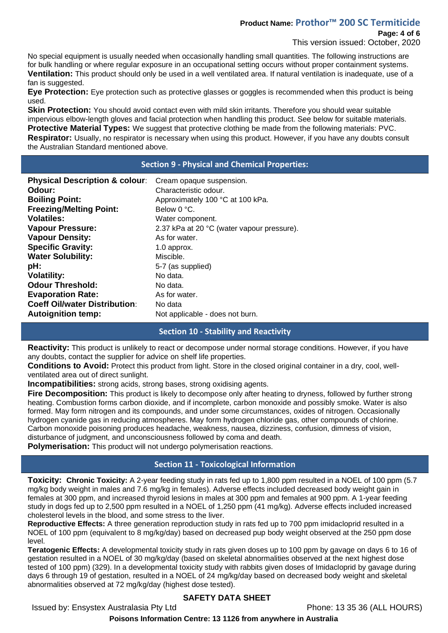# **Product Name: Prothor™ 200 SC Termiticide**

This version issued: October, 2020

No special equipment is usually needed when occasionally handling small quantities. The following instructions are for bulk handling or where regular exposure in an occupational setting occurs without proper containment systems. **Ventilation:** This product should only be used in a well ventilated area. If natural ventilation is inadequate, use of a fan is suggested.

**Eye Protection:** Eye protection such as protective glasses or goggles is recommended when this product is being used.

**Skin Protection:** You should avoid contact even with mild skin irritants. Therefore you should wear suitable impervious elbow-length gloves and facial protection when handling this product. See below for suitable materials. **Protective Material Types:** We suggest that protective clothing be made from the following materials: PVC. **Respirator:** Usually, no respirator is necessary when using this product. However, if you have any doubts consult the Australian Standard mentioned above.

### **Section 9 - Physical and Chemical Properties:**

| Cream opaque suspension.<br>Characteristic odour.<br>Approximately 100 °C at 100 kPa.<br>Below 0 °C.<br>Water component.<br>2.37 kPa at 20 °C (water vapour pressure).<br>As for water.<br>1.0 approx.<br>Miscible.<br>5-7 (as supplied)<br>No data.<br>No data.<br>As for water.<br>No data |
|----------------------------------------------------------------------------------------------------------------------------------------------------------------------------------------------------------------------------------------------------------------------------------------------|
| Not applicable - does not burn.                                                                                                                                                                                                                                                              |
|                                                                                                                                                                                                                                                                                              |

# **Section 10 - Stability and Reactivity**

**Reactivity:** This product is unlikely to react or decompose under normal storage conditions. However, if you have any doubts, contact the supplier for advice on shelf life properties.

**Conditions to Avoid:** Protect this product from light. Store in the closed original container in a dry, cool, wellventilated area out of direct sunlight.

**Incompatibilities:** strong acids, strong bases, strong oxidising agents.

**Fire Decomposition:** This product is likely to decompose only after heating to dryness, followed by further strong heating. Combustion forms carbon dioxide, and if incomplete, carbon monoxide and possibly smoke. Water is also formed. May form nitrogen and its compounds, and under some circumstances, oxides of nitrogen. Occasionally hydrogen cyanide gas in reducing atmospheres. May form hydrogen chloride gas, other compounds of chlorine. Carbon monoxide poisoning produces headache, weakness, nausea, dizziness, confusion, dimness of vision, disturbance of judgment, and unconsciousness followed by coma and death.

**Polymerisation:** This product will not undergo polymerisation reactions.

# **Section 11 - Toxicological Information**

**Toxicity: Chronic Toxicity:** A 2-year feeding study in rats fed up to 1,800 ppm resulted in a NOEL of 100 ppm (5.7 mg/kg body weight in males and 7.6 mg/kg in females). Adverse effects included decreased body weight gain in females at 300 ppm, and increased thyroid lesions in males at 300 ppm and females at 900 ppm. A 1-year feeding study in dogs fed up to 2,500 ppm resulted in a NOEL of 1,250 ppm (41 mg/kg). Adverse effects included increased cholesterol levels in the blood, and some stress to the liver.

**Reproductive Effects:** A three generation reproduction study in rats fed up to 700 ppm imidacloprid resulted in a NOEL of 100 ppm (equivalent to 8 mg/kg/day) based on decreased pup body weight observed at the 250 ppm dose level.

**Teratogenic Effects:** A developmental toxicity study in rats given doses up to 100 ppm by gavage on days 6 to 16 of gestation resulted in a NOEL of 30 mg/kg/day (based on skeletal abnormalities observed at the next highest dose tested of 100 ppm) (329). In a developmental toxicity study with rabbits given doses of Imidacloprid by gavage during days 6 through 19 of gestation, resulted in a NOEL of 24 mg/kg/day based on decreased body weight and skeletal abnormalities observed at 72 mg/kg/day (highest dose tested).

# **SAFETY DATA SHEET**

Issued by: Ensystex Australasia Pty Ltd Phone: 13 35 36 (ALL HOURS)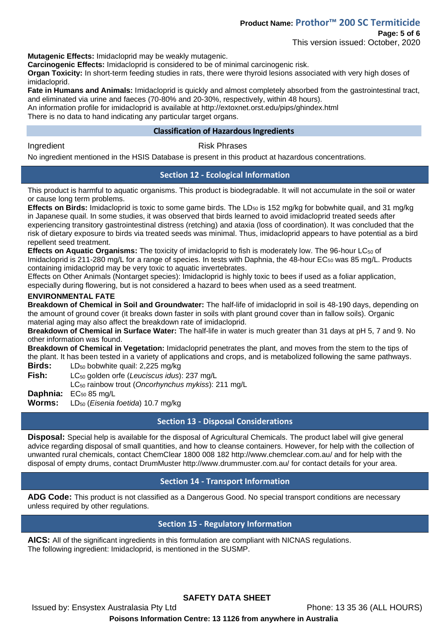This version issued: October, 2020

**Mutagenic Effects:** Imidacloprid may be weakly mutagenic.

**Carcinogenic Effects:** Imidacloprid is considered to be of minimal carcinogenic risk.

**Organ Toxicity:** In short-term feeding studies in rats, there were thyroid lesions associated with very high doses of imidacloprid.

**Fate in Humans and Animals:** Imidacloprid is quickly and almost completely absorbed from the gastrointestinal tract, and eliminated via urine and faeces (70-80% and 20-30%, respectively, within 48 hours).

An information profile for imidacloprid is available at http://extoxnet.orst.edu/pips/ghindex.html There is no data to hand indicating any particular target organs.

### **Classification of Hazardous Ingredients**

#### Ingredient **Risk Phrases**

No ingredient mentioned in the HSIS Database is present in this product at hazardous concentrations.

# **Section 12 - Ecological Information**

This product is harmful to aquatic organisms. This product is biodegradable. It will not accumulate in the soil or water or cause long term problems.

Effects on Birds: Imidacloprid is toxic to some game birds. The LD<sub>50</sub> is 152 mg/kg for bobwhite quail, and 31 mg/kg in Japanese quail. In some studies, it was observed that birds learned to avoid imidacloprid treated seeds after experiencing transitory gastrointestinal distress (retching) and ataxia (loss of coordination). It was concluded that the risk of dietary exposure to birds via treated seeds was minimal. Thus, imidacloprid appears to have potential as a bird repellent seed treatment.

**Effects on Aquatic Organisms:** The toxicity of imidacloprid to fish is moderately low. The 96-hour LC<sub>50</sub> of Imidacloprid is 211-280 mg/L for a range of species. In tests with Daphnia, the 48-hour EC<sub>50</sub> was 85 mg/L. Products containing imidacloprid may be very toxic to aquatic invertebrates.

Effects on Other Animals (Nontarget species): Imidacloprid is highly toxic to bees if used as a foliar application, especially during flowering, but is not considered a hazard to bees when used as a seed treatment.

### **ENVIRONMENTAL FATE**

**Breakdown of Chemical in Soil and Groundwater:** The half-life of imidacloprid in soil is 48-190 days, depending on the amount of ground cover (it breaks down faster in soils with plant ground cover than in fallow soils). Organic material aging may also affect the breakdown rate of imidacloprid.

**Breakdown of Chemical in Surface Water:** The half-life in water is much greater than 31 days at pH 5, 7 and 9. No other information was found.

**Breakdown of Chemical in Vegetation:** Imidacloprid penetrates the plant, and moves from the stem to the tips of the plant. It has been tested in a variety of applications and crops, and is metabolized following the same pathways.

**Birds:** LD<sub>50</sub> bobwhite quail: 2,225 mg/kg

**Fish:** LC<sub>50</sub> golden orfe (*Leuciscus idus*): 237 mg/L

LC<sup>50</sup> rainbow trout (*Oncorhynchus mykiss*): 211 mg/L

**Daphnia:** EC<sub>50</sub> 85 mg/L

Worms: LD<sub>50</sub> (*Eisenia foetida*) 10.7 mg/kg

# **Section 13 - Disposal Considerations**

**Disposal:** Special help is available for the disposal of Agricultural Chemicals. The product label will give general advice regarding disposal of small quantities, and how to cleanse containers. However, for help with the collection of unwanted rural chemicals, contact ChemClear 1800 008 182 http://www.chemclear.com.au/ and for help with the disposal of empty drums, contact DrumMuster http://www.drummuster.com.au/ for contact details for your area.

# **Section 14 - Transport Information**

**ADG Code:** This product is not classified as a Dangerous Good. No special transport conditions are necessary unless required by other regulations.

# **Section 15 - Regulatory Information**

**AICS:** All of the significant ingredients in this formulation are compliant with NICNAS regulations. The following ingredient: Imidacloprid, is mentioned in the SUSMP.

# **SAFETY DATA SHEET**

Issued by: Ensystex Australasia Pty Ltd Phone: 13 35 36 (ALL HOURS)